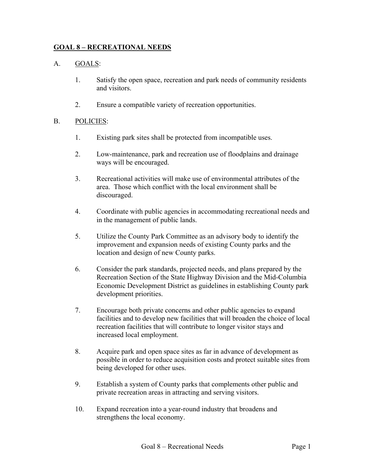### **GOAL 8 – RECREATIONAL NEEDS**

### A. GOALS:

- 1. Satisfy the open space, recreation and park needs of community residents and visitors.
- 2. Ensure a compatible variety of recreation opportunities.

#### B. POLICIES:

- 1. Existing park sites shall be protected from incompatible uses.
- 2. Low-maintenance, park and recreation use of floodplains and drainage ways will be encouraged.
- 3. Recreational activities will make use of environmental attributes of the area. Those which conflict with the local environment shall be discouraged.
- 4. Coordinate with public agencies in accommodating recreational needs and in the management of public lands.
- 5. Utilize the County Park Committee as an advisory body to identify the improvement and expansion needs of existing County parks and the location and design of new County parks.
- 6. Consider the park standards, projected needs, and plans prepared by the Recreation Section of the State Highway Division and the Mid-Columbia Economic Development District as guidelines in establishing County park development priorities.
- 7. Encourage both private concerns and other public agencies to expand facilities and to develop new facilities that will broaden the choice of local recreation facilities that will contribute to longer visitor stays and increased local employment.
- 8. Acquire park and open space sites as far in advance of development as possible in order to reduce acquisition costs and protect suitable sites from being developed for other uses.
- 9. Establish a system of County parks that complements other public and private recreation areas in attracting and serving visitors.
- 10. Expand recreation into a year-round industry that broadens and strengthens the local economy.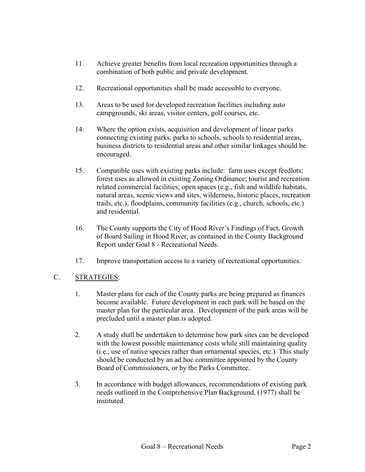- 11. Achieve greater benefits from local recreation opportunities through a combination of both public and private development.
- 12. Recreational opportunities shall be made accessible to everyone.
- 13. Areas to be used for developed recreation facilities including auto campgrounds, ski areas, visitor centers, golf courses, etc.
- 14. Where the option exists, acquisition and development of linear parks connecting existing parks, parks to schools, schools to residential areas, business districts to residential areas and other similar linkages should be encouraged.
- 15. Compatible uses with existing parks include: farm uses except feedlots; forest uses as allowed in existing Zoning Ordinance; tourist and recreation related commercial facilities; open spaces (e.g., fish and wildlife habitats, natural areas, scenic views and sites, wilderness, historic places, recreation trails, etc.), floodplains, community facilities (e.g., church, schools, etc.) and residential.
- 16. The County supports the City of Hood River's Findings of Fact, Growth of Board Sailing in Hood River, as contained in the County Background Report under Goal 8 - Recreational Needs.
- 17. Improve transportation access to a variety of recreational opportunities.

# C. STRATEGIES:

- 1. Master plans for each of the County parks are being prepared as finances become available. Future development in each park will be based on the master plan for the particular area. Development of the park areas will be precluded until a master plan is adopted.
- 2. A study shall be undertaken to determine how park sites can be developed with the lowest possible maintenance costs while still maintaining quality (i.e., use of native species rather than ornamental species, etc.) This study should be conducted by an ad hoc committee appointed by the County Board of Commissioners, or by the Parks Committee.
- 3. In accordance with budget allowances, recommendations of existing park needs outlined in the Comprehensive Plan Background, (1977) shall be instituted.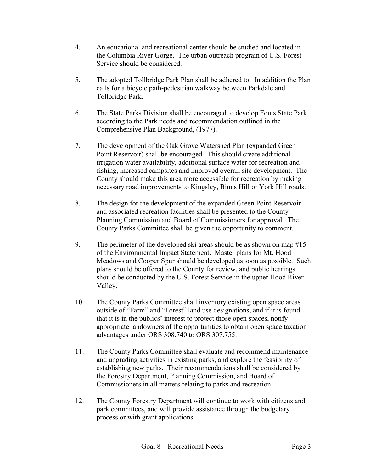- 4. An educational and recreational center should be studied and located in the Columbia River Gorge. The urban outreach program of U.S. Forest Service should be considered.
- 5. The adopted Tollbridge Park Plan shall be adhered to. In addition the Plan calls for a bicycle path-pedestrian walkway between Parkdale and Tollbridge Park.
- 6. The State Parks Division shall be encouraged to develop Fouts State Park according to the Park needs and recommendation outlined in the Comprehensive Plan Background, (1977).
- 7. The development of the Oak Grove Watershed Plan (expanded Green Point Reservoir) shall be encouraged. This should create additional irrigation water availability, additional surface water for recreation and fishing, increased campsites and improved overall site development. The County should make this area more accessible for recreation by making necessary road improvements to Kingsley, Binns Hill or York Hill roads.
- 8. The design for the development of the expanded Green Point Reservoir and associated recreation facilities shall be presented to the County Planning Commission and Board of Commissioners for approval. The County Parks Committee shall be given the opportunity to comment.
- 9. The perimeter of the developed ski areas should be as shown on map #15 of the Environmental Impact Statement. Master plans for Mt. Hood Meadows and Cooper Spur should be developed as soon as possible. Such plans should be offered to the County for review, and public hearings should be conducted by the U.S. Forest Service in the upper Hood River Valley.
- 10. The County Parks Committee shall inventory existing open space areas outside of "Farm" and "Forest" land use designations, and if it is found that it is in the publics' interest to protect those open spaces, notify appropriate landowners of the opportunities to obtain open space taxation advantages under ORS 308.740 to ORS 307.755.
- 11. The County Parks Committee shall evaluate and recommend maintenance and upgrading activities in existing parks, and explore the feasibility of establishing new parks. Their recommendations shall be considered by the Forestry Department, Planning Commission, and Board of Commissioners in all matters relating to parks and recreation.
- 12. The County Forestry Department will continue to work with citizens and park committees, and will provide assistance through the budgetary process or with grant applications.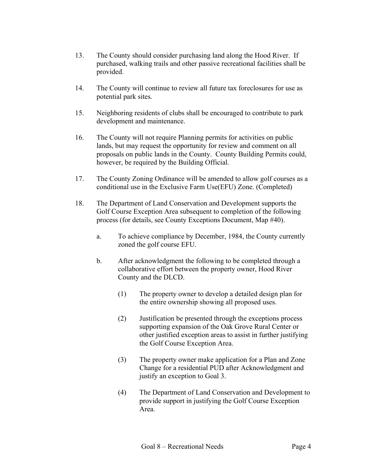- 13. The County should consider purchasing land along the Hood River. If purchased, walking trails and other passive recreational facilities shall be provided.
- 14. The County will continue to review all future tax foreclosures for use as potential park sites.
- 15. Neighboring residents of clubs shall be encouraged to contribute to park development and maintenance.
- 16. The County will not require Planning permits for activities on public lands, but may request the opportunity for review and comment on all proposals on public lands in the County. County Building Permits could, however, be required by the Building Official.
- 17. The County Zoning Ordinance will be amended to allow golf courses as a conditional use in the Exclusive Farm Use(EFU) Zone. (Completed)
- 18. The Department of Land Conservation and Development supports the Golf Course Exception Area subsequent to completion of the following process (for details, see County Exceptions Document, Map #40).
	- a. To achieve compliance by December, 1984, the County currently zoned the golf course EFU.
	- b. After acknowledgment the following to be completed through a collaborative effort between the property owner, Hood River County and the DLCD.
		- (1) The property owner to develop a detailed design plan for the entire ownership showing all proposed uses.
		- (2) Justification be presented through the exceptions process supporting expansion of the Oak Grove Rural Center or other justified exception areas to assist in further justifying the Golf Course Exception Area.
		- (3) The property owner make application for a Plan and Zone Change for a residential PUD after Acknowledgment and justify an exception to Goal 3.
		- (4) The Department of Land Conservation and Development to provide support in justifying the Golf Course Exception Area.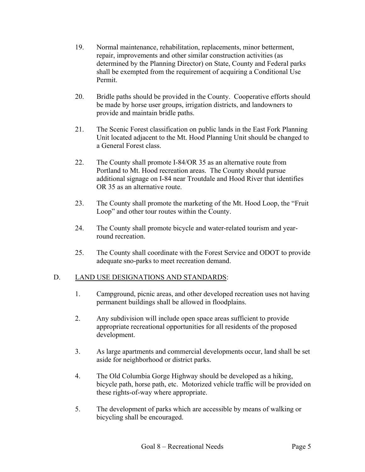- 19. Normal maintenance, rehabilitation, replacements, minor betterment, repair, improvements and other similar construction activities (as determined by the Planning Director) on State, County and Federal parks shall be exempted from the requirement of acquiring a Conditional Use Permit.
- 20. Bridle paths should be provided in the County. Cooperative efforts should be made by horse user groups, irrigation districts, and landowners to provide and maintain bridle paths.
- 21. The Scenic Forest classification on public lands in the East Fork Planning Unit located adjacent to the Mt. Hood Planning Unit should be changed to a General Forest class.
- 22. The County shall promote I-84/OR 35 as an alternative route from Portland to Mt. Hood recreation areas. The County should pursue additional signage on I-84 near Troutdale and Hood River that identifies OR 35 as an alternative route.
- 23. The County shall promote the marketing of the Mt. Hood Loop, the "Fruit Loop" and other tour routes within the County.
- 24. The County shall promote bicycle and water-related tourism and yearround recreation.
- 25. The County shall coordinate with the Forest Service and ODOT to provide adequate sno-parks to meet recreation demand.

# D. LAND USE DESIGNATIONS AND STANDARDS:

- 1. Campground, picnic areas, and other developed recreation uses not having permanent buildings shall be allowed in floodplains.
- 2. Any subdivision will include open space areas sufficient to provide appropriate recreational opportunities for all residents of the proposed development.
- 3. As large apartments and commercial developments occur, land shall be set aside for neighborhood or district parks.
- 4. The Old Columbia Gorge Highway should be developed as a hiking, bicycle path, horse path, etc. Motorized vehicle traffic will be provided on these rights-of-way where appropriate.
- 5. The development of parks which are accessible by means of walking or bicycling shall be encouraged.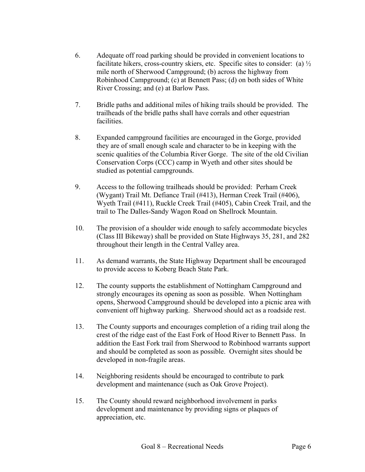- 6. Adequate off road parking should be provided in convenient locations to facilitate hikers, cross-country skiers, etc. Specific sites to consider: (a)  $\frac{1}{2}$ mile north of Sherwood Campground; (b) across the highway from Robinhood Campground; (c) at Bennett Pass; (d) on both sides of White River Crossing; and (e) at Barlow Pass.
- 7. Bridle paths and additional miles of hiking trails should be provided. The trailheads of the bridle paths shall have corrals and other equestrian facilities.
- 8. Expanded campground facilities are encouraged in the Gorge, provided they are of small enough scale and character to be in keeping with the scenic qualities of the Columbia River Gorge. The site of the old Civilian Conservation Corps (CCC) camp in Wyeth and other sites should be studied as potential campgrounds.
- 9. Access to the following trailheads should be provided: Perham Creek (Wygant) Trail Mt. Defiance Trail (#413), Herman Creek Trail (#406), Wyeth Trail (#411), Ruckle Creek Trail (#405), Cabin Creek Trail, and the trail to The Dalles-Sandy Wagon Road on Shellrock Mountain.
- 10. The provision of a shoulder wide enough to safely accommodate bicycles (Class III Bikeway) shall be provided on State Highways 35, 281, and 282 throughout their length in the Central Valley area.
- 11. As demand warrants, the State Highway Department shall be encouraged to provide access to Koberg Beach State Park.
- 12. The county supports the establishment of Nottingham Campground and strongly encourages its opening as soon as possible. When Nottingham opens, Sherwood Campground should be developed into a picnic area with convenient off highway parking. Sherwood should act as a roadside rest.
- 13. The County supports and encourages completion of a riding trail along the crest of the ridge east of the East Fork of Hood River to Bennett Pass. In addition the East Fork trail from Sherwood to Robinhood warrants support and should be completed as soon as possible. Overnight sites should be developed in non-fragile areas.
- 14. Neighboring residents should be encouraged to contribute to park development and maintenance (such as Oak Grove Project).
- 15. The County should reward neighborhood involvement in parks development and maintenance by providing signs or plaques of appreciation, etc.